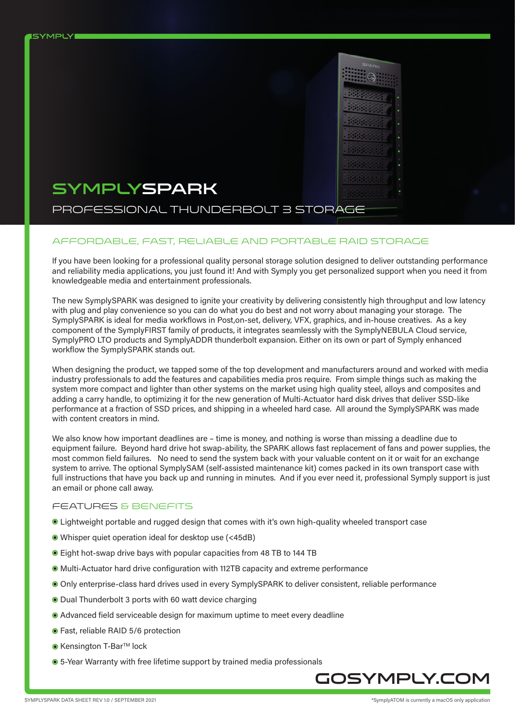

**ISYMPLY** 

### PROFESSIONAL THUNDERBOLT 3 STORAGE

#### affordable, fast, reliable and portable raid storage

If you have been looking for a professional quality personal storage solution designed to deliver outstanding performance and reliability media applications, you just found it! And with Symply you get personalized support when you need it from knowledgeable media and entertainment professionals.

The new SymplySPARK was designed to ignite your creativity by delivering consistently high throughput and low latency with plug and play convenience so you can do what you do best and not worry about managing your storage. The SymplySPARK is ideal for media workflows in Post,on-set, delivery, VFX, graphics, and in-house creatives. As a key component of the SymplyFIRST family of products, it integrates seamlessly with the SymplyNEBULA Cloud service, SymplyPRO LTO products and SymplyADDR thunderbolt expansion. Either on its own or part of Symply enhanced workflow the SymplySPARK stands out.

When designing the product, we tapped some of the top development and manufacturers around and worked with media industry professionals to add the features and capabilities media pros require. From simple things such as making the system more compact and lighter than other systems on the market using high quality steel, alloys and composites and adding a carry handle, to optimizing it for the new generation of Multi-Actuator hard disk drives that deliver SSD-like performance at a fraction of SSD prices, and shipping in a wheeled hard case. All around the SymplySPARK was made with content creators in mind.

We also know how important deadlines are – time is money, and nothing is worse than missing a deadline due to equipment failure. Beyond hard drive hot swap-ability, the SPARK allows fast replacement of fans and power supplies, the most common field failures. No need to send the system back with your valuable content on it or wait for an exchange system to arrive. The optional SymplySAM (self-assisted maintenance kit) comes packed in its own transport case with full instructions that have you back up and running in minutes. And if you ever need it, professional Symply support is just an email or phone call away.

#### FEATURES & BENEFITS

- Lightweight portable and rugged design that comes with it's own high-quality wheeled transport case
- Whisper quiet operation ideal for desktop use (<45dB)
- Eight hot-swap drive bays with popular capacities from 48 TB to 144 TB
- Multi-Actuator hard drive configuration with 112TB capacity and extreme performance
- Only enterprise-class hard drives used in every SymplySPARK to deliver consistent, reliable performance
- $\bullet$  Dual Thunderbolt 3 ports with 60 watt device charging
- Advanced field serviceable design for maximum uptime to meet every deadline
- Fast, reliable RAID 5/6 protection
- Kensington T-Bar™ lock
- 5-Year Warranty with free lifetime support by trained media professionals